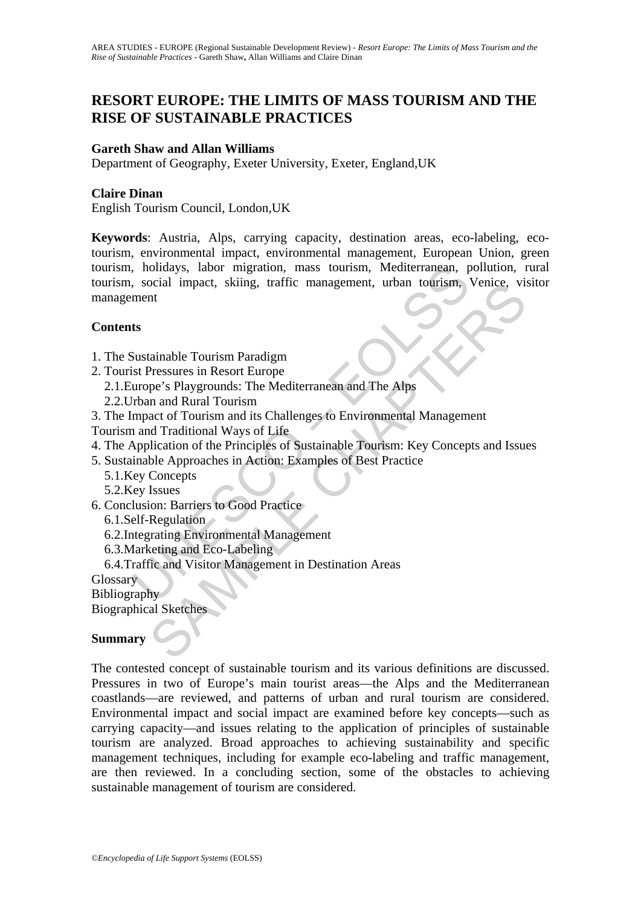# **RESORT EUROPE: THE LIMITS OF MASS TOURISM AND THE RISE OF SUSTAINABLE PRACTICES**

#### **Gareth Shaw and Allan Williams**

Department of Geography, Exeter University, Exeter, England,UK

### **Claire Dinan**

English Tourism Council, London,UK

(moreofology, labor migration, mass tourism, Mediterranean, p. social impact, skiing, traffic management, urban tourism, ment<br>
standable Tourism Paradigm<br>
istanable Tourism Paradigm<br>
istanable Tourism Paradigm<br>
istanable T ocial impact, skiing, traffic management, urban fourism, venice, view<br>trafficializable Tourism Paradigm<br>Pressures in Resort Europe<br>pe's Playgrounds: The Mediterranean and The Alps<br>act of Tourism and its Challenges to Envir **Keywords**: Austria, Alps, carrying capacity, destination areas, eco-labeling, ecotourism, environmental impact, environmental management, European Union, green tourism, holidays, labor migration, mass tourism, Mediterranean, pollution, rural tourism, social impact, skiing, traffic management, urban tourism, Venice, visitor management

### **Contents**

- 1. The Sustainable Tourism Paradigm
- 2. Tourist Pressures in Resort Europe
	- 2.1.Europe's Playgrounds: The Mediterranean and The Alps
	- 2.2.Urban and Rural Tourism
- 3. The Impact of Tourism and its Challenges to Environmental Management
- Tourism and Traditional Ways of Life
- 4. The Application of the Principles of Sustainable Tourism: Key Concepts and Issues
- 5. Sustainable Approaches in Action: Examples of Best Practice
	- 5.1.Key Concepts
	- 5.2.Key Issues
- 6. Conclusion: Barriers to Good Practice

6.1.Self-Regulation

- 6.2.Integrating Environmental Management
- 6.3.Marketing and Eco-Labeling
- 6.4.Traffic and Visitor Management in Destination Areas

**Glossary** 

**Bibliography** 

Biographical Sketches

# **Summary**

The contested concept of sustainable tourism and its various definitions are discussed. Pressures in two of Europe's main tourist areas—the Alps and the Mediterranean coastlands—are reviewed, and patterns of urban and rural tourism are considered. Environmental impact and social impact are examined before key concepts—such as carrying capacity—and issues relating to the application of principles of sustainable tourism are analyzed. Broad approaches to achieving sustainability and specific management techniques, including for example eco-labeling and traffic management, are then reviewed. In a concluding section, some of the obstacles to achieving sustainable management of tourism are considered.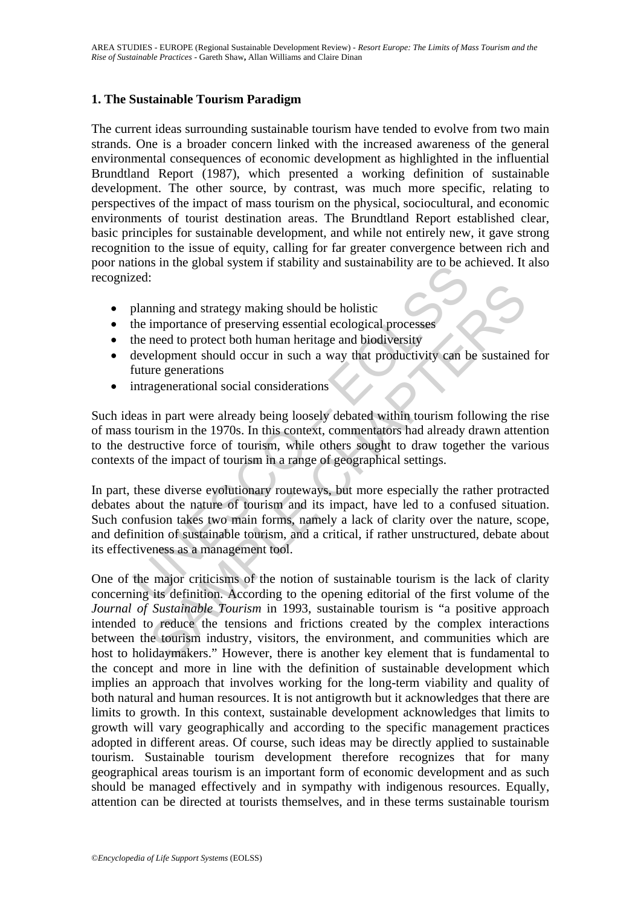# **1. The Sustainable Tourism Paradigm**

The current ideas surrounding sustainable tourism have tended to evolve from two main strands. One is a broader concern linked with the increased awareness of the general environmental consequences of economic development as highlighted in the influential Brundtland Report (1987), which presented a working definition of sustainable development. The other source, by contrast, was much more specific, relating to perspectives of the impact of mass tourism on the physical, sociocultural, and economic environments of tourist destination areas. The Brundtland Report established clear, basic principles for sustainable development, and while not entirely new, it gave strong recognition to the issue of equity, calling for far greater convergence between rich and poor nations in the global system if stability and sustainability are to be achieved. It also recognized:

- planning and strategy making should be holistic
- the importance of preserving essential ecological processes
- the need to protect both human heritage and biodiversity
- development should occur in such a way that productivity can be sustained for future generations
- intragenerational social considerations

Such ideas in part were already being loosely debated within tourism following the rise of mass tourism in the 1970s. In this context, commentators had already drawn attention to the destructive force of tourism, while others sought to draw together the various contexts of the impact of tourism in a range of geographical settings.

The major criticisms of the notion of sustainable tourism is the major criticisms are major critical and the major critical and biodiversity can be need to protect both human heritage and biodiversity development should oc In part, these diverse evolutionary routeways, but more especially the rather protracted debates about the nature of tourism and its impact, have led to a confused situation. Such confusion takes two main forms, namely a lack of clarity over the nature, scope, and definition of sustainable tourism, and a critical, if rather unstructured, debate about its effectiveness as a management tool.

ming and strategy making should be holistic<br>
importance of preserving essential ecological processes<br>
need to protect both human heritage and biodiversity<br>
elopment should occur in such a way that productivity can be susta One of the major criticisms of the notion of sustainable tourism is the lack of clarity concerning its definition. According to the opening editorial of the first volume of the *Journal of Sustainable Tourism* in 1993, sustainable tourism is "a positive approach intended to reduce the tensions and frictions created by the complex interactions between the tourism industry, visitors, the environment, and communities which are host to holidaymakers." However, there is another key element that is fundamental to the concept and more in line with the definition of sustainable development which implies an approach that involves working for the long-term viability and quality of both natural and human resources. It is not antigrowth but it acknowledges that there are limits to growth. In this context, sustainable development acknowledges that limits to growth will vary geographically and according to the specific management practices adopted in different areas. Of course, such ideas may be directly applied to sustainable tourism. Sustainable tourism development therefore recognizes that for many geographical areas tourism is an important form of economic development and as such should be managed effectively and in sympathy with indigenous resources. Equally, attention can be directed at tourists themselves, and in these terms sustainable tourism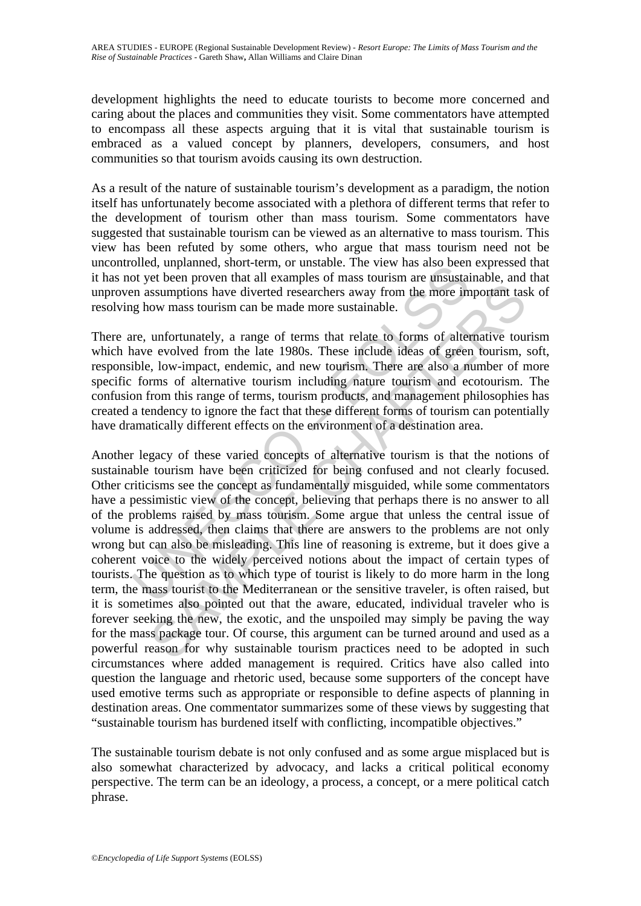development highlights the need to educate tourists to become more concerned and caring about the places and communities they visit. Some commentators have attempted to encompass all these aspects arguing that it is vital that sustainable tourism is embraced as a valued concept by planners, developers, consumers, and host communities so that tourism avoids causing its own destruction.

As a result of the nature of sustainable tourism's development as a paradigm, the notion itself has unfortunately become associated with a plethora of different terms that refer to the development of tourism other than mass tourism. Some commentators have suggested that sustainable tourism can be viewed as an alternative to mass tourism. This view has been refuted by some others, who argue that mass tourism need not be uncontrolled, unplanned, short-term, or unstable. The view has also been expressed that it has not yet been proven that all examples of mass tourism are unsustainable, and that unproven assumptions have diverted researchers away from the more important task of resolving how mass tourism can be made more sustainable.

There are, unfortunately, a range of terms that relate to forms of alternative tourism which have evolved from the late 1980s. These include ideas of green tourism, soft, responsible, low-impact, endemic, and new tourism. There are also a number of more specific forms of alternative tourism including nature tourism and ecotourism. The confusion from this range of terms, tourism products, and management philosophies has created a tendency to ignore the fact that these different forms of tourism can potentially have dramatically different effects on the environment of a destination area.

of the two manned, stori-ending to muscle at the two mass as obsetting to the text and examples of mass to wise<br>an assumptions have diverted researchers away from the more implaned in assumptions have diverted researchers ssumptions have diverted researchers away from the more important tas<br>ow mass tourism can be made more sustainable.<br>unfortunately, a range of terms that relate to forms of alternative tourism,<br>e., low-impact, endemic, and Another legacy of these varied concepts of alternative tourism is that the notions of sustainable tourism have been criticized for being confused and not clearly focused. Other criticisms see the concept as fundamentally misguided, while some commentators have a pessimistic view of the concept, believing that perhaps there is no answer to all of the problems raised by mass tourism. Some argue that unless the central issue of volume is addressed, then claims that there are answers to the problems are not only wrong but can also be misleading. This line of reasoning is extreme, but it does give a coherent voice to the widely perceived notions about the impact of certain types of tourists. The question as to which type of tourist is likely to do more harm in the long term, the mass tourist to the Mediterranean or the sensitive traveler, is often raised, but it is sometimes also pointed out that the aware, educated, individual traveler who is forever seeking the new, the exotic, and the unspoiled may simply be paving the way for the mass package tour. Of course, this argument can be turned around and used as a powerful reason for why sustainable tourism practices need to be adopted in such circumstances where added management is required. Critics have also called into question the language and rhetoric used, because some supporters of the concept have used emotive terms such as appropriate or responsible to define aspects of planning in destination areas. One commentator summarizes some of these views by suggesting that "sustainable tourism has burdened itself with conflicting, incompatible objectives."

The sustainable tourism debate is not only confused and as some argue misplaced but is also somewhat characterized by advocacy, and lacks a critical political economy perspective. The term can be an ideology, a process, a concept, or a mere political catch phrase.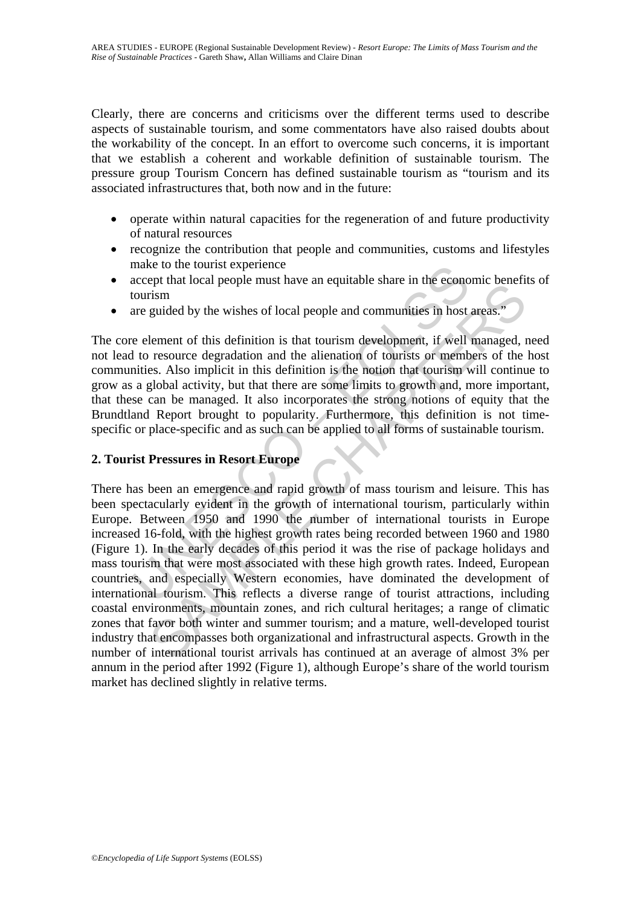Clearly, there are concerns and criticisms over the different terms used to describe aspects of sustainable tourism, and some commentators have also raised doubts about the workability of the concept. In an effort to overcome such concerns, it is important that we establish a coherent and workable definition of sustainable tourism. The pressure group Tourism Concern has defined sustainable tourism as "tourism and its associated infrastructures that, both now and in the future:

- operate within natural capacities for the regeneration of and future productivity of natural resources
- recognize the contribution that people and communities, customs and lifestyles make to the tourist experience
- accept that local people must have an equitable share in the economic benefits of tourism
- are guided by the wishes of local people and communities in host areas."

The core element of this definition is that tourism development, if well managed, need not lead to resource degradation and the alienation of tourists or members of the host communities. Also implicit in this definition is the notion that tourism will continue to grow as a global activity, but that there are some limits to growth and, more important, that these can be managed. It also incorporates the strong notions of equity that the Brundtland Report brought to popularity. Furthermore, this definition is not timespecific or place-specific and as such can be applied to all forms of sustainable tourism.

# **2. Tourist Pressures in Resort Europe**

make to the tourist experience<br>accept that local people must have an equitable share in the econo<br>fourism<br>are guided by the wishes of local people and communities in host<br>e element of this definition is that tourism develo From the tocal people must have an equidable share in the economic benefited by the wishes of local people and communities in host areas."<br>
Element of this definition is that tourism development, if well managed, resource There has been an emergence and rapid growth of mass tourism and leisure. This has been spectacularly evident in the growth of international tourism, particularly within Europe. Between 1950 and 1990 the number of international tourists in Europe increased 16-fold, with the highest growth rates being recorded between 1960 and 1980 (Figure 1). In the early decades of this period it was the rise of package holidays and mass tourism that were most associated with these high growth rates. Indeed, European countries, and especially Western economies, have dominated the development of international tourism. This reflects a diverse range of tourist attractions, including coastal environments, mountain zones, and rich cultural heritages; a range of climatic zones that favor both winter and summer tourism; and a mature, well-developed tourist industry that encompasses both organizational and infrastructural aspects. Growth in the number of international tourist arrivals has continued at an average of almost 3% per annum in the period after 1992 (Figure 1), although Europe's share of the world tourism market has declined slightly in relative terms.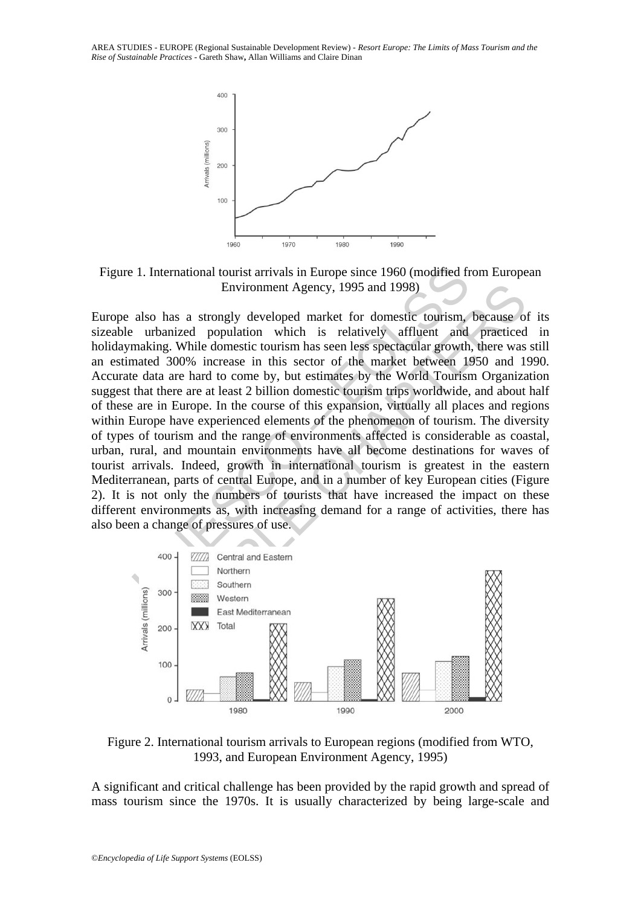AREA STUDIES - EUROPE (Regional Sustainable Development Review) - *Resort Europe: The Limits of Mass Tourism and the Rise of Sustainable Practices* - Gareth Shaw**,** Allan Williams and Claire Dinan



Figure 1. International tourist arrivals in Europe since 1960 (modified from European Environment Agency, 1995 and 1998)

1. International tourist arrivals in Europe since 1960 (modified fractive more since 1960 (modified fractivism, the more since the survive more survey at the more survey at the more survey at the more in this relatively a Environment Agency, 1995 and 1998)<br>
So has a strongly developed market for domestic tourism, because or<br>
urbanized population which is relatively affluent and practiced<br>
strong. While domestic tourism has seen less spectac Europe also has a strongly developed market for domestic tourism, because of its sizeable urbanized population which is relatively affluent and practiced in holidaymaking. While domestic tourism has seen less spectacular growth, there was still an estimated 300% increase in this sector of the market between 1950 and 1990. Accurate data are hard to come by, but estimates by the World Tourism Organization suggest that there are at least 2 billion domestic tourism trips worldwide, and about half of these are in Europe. In the course of this expansion, virtually all places and regions within Europe have experienced elements of the phenomenon of tourism. The diversity of types of tourism and the range of environments affected is considerable as coastal, urban, rural, and mountain environments have all become destinations for waves of tourist arrivals. Indeed, growth in international tourism is greatest in the eastern Mediterranean, parts of central Europe, and in a number of key European cities (Figure 2). It is not only the numbers of tourists that have increased the impact on these different environments as, with increasing demand for a range of activities, there has also been a change of pressures of use.



Figure 2. International tourism arrivals to European regions (modified from WTO, 1993, and European Environment Agency, 1995)

A significant and critical challenge has been provided by the rapid growth and spread of mass tourism since the 1970s. It is usually characterized by being large-scale and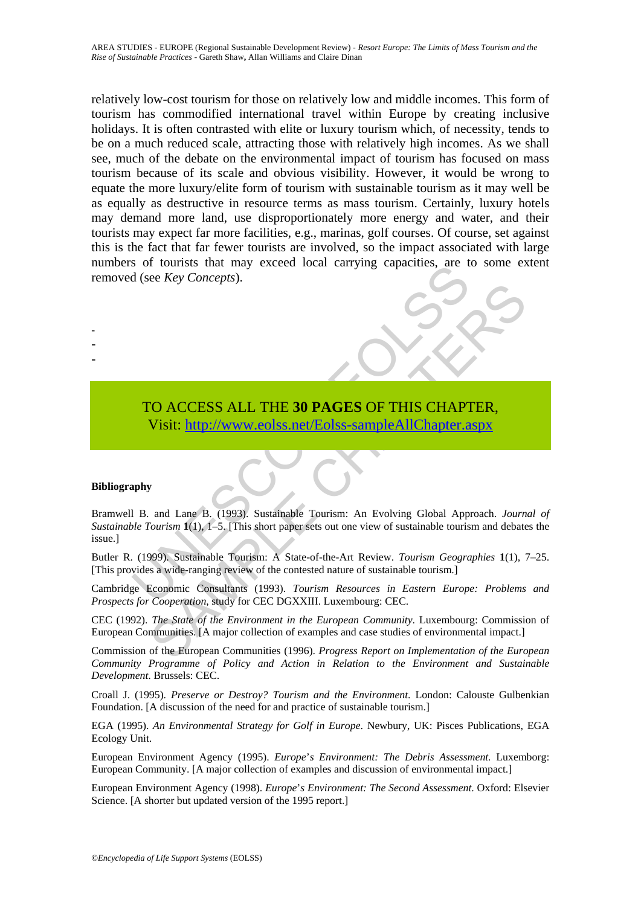relatively low-cost tourism for those on relatively low and middle incomes. This form of tourism has commodified international travel within Europe by creating inclusive holidays. It is often contrasted with elite or luxury tourism which, of necessity, tends to be on a much reduced scale, attracting those with relatively high incomes. As we shall see, much of the debate on the environmental impact of tourism has focused on mass tourism because of its scale and obvious visibility. However, it would be wrong to equate the more luxury/elite form of tourism with sustainable tourism as it may well be as equally as destructive in resource terms as mass tourism. Certainly, luxury hotels may demand more land, use disproportionately more energy and water, and their tourists may expect far more facilities, e.g., marinas, golf courses. Of course, set against this is the fact that far fewer tourists are involved, so the impact associated with large numbers of tourists that may exceed local carrying capacities, are to some extent removed (see *Key Concepts*).



#### **Bibliography**

- - -

S OF COURSE THE SUPPOSE COLOR CONTROLL TO ACCESS ALL THE 30 PAGES OF THIS CHAPT<br>
TO ACCESS ALL THE 30 PAGES OF THIS CHAPT<br>
Visit: http://www.eolss.net/Eolss-sampleAllChapter.a<br>
aphy<br>
aphy<br>
1 B. and Lane B. (1993). Sustaina CO ACCESS ALL THE 30 PAGES OF THIS C[HAP](https://www.eolss.net/ebooklib/sc_cart.aspx?File=E1-53-54)TER,<br>
Visit: http://www.eolss.net/Eolss-sampleAllChapter.aspx<br>
y<br>
and Lane B. (1993). Sustainable Tourism: An Evolving Global Approach. Journ<br>
fourism 1(1), 1–5. [This short paper set Bramwell B. and Lane B. (1993). Sustainable Tourism: An Evolving Global Approach. *Journal of Sustainable Tourism* **1**(1), 1–5. [This short paper sets out one view of sustainable tourism and debates the issue.]

Butler R. (1999). Sustainable Tourism: A State-of-the-Art Review. *Tourism Geographies* **1**(1), 7–25. [This provides a wide-ranging review of the contested nature of sustainable tourism.]

Cambridge Economic Consultants (1993). *Tourism Resources in Eastern Europe: Problems and Prospects for Cooperation*, study for CEC DGXXIII. Luxembourg: CEC.

CEC (1992). *The State of the Environment in the European Community*. Luxembourg: Commission of European Communities. [A major collection of examples and case studies of environmental impact.]

Commission of the European Communities (1996). *Progress Report on Implementation of the European Community Programme of Policy and Action in Relation to the Environment and Sustainable Development*. Brussels: CEC.

Croall J. (1995). *Preserve or Destroy? Tourism and the Environment*. London: Calouste Gulbenkian Foundation. [A discussion of the need for and practice of sustainable tourism.]

EGA (1995). *An Environmental Strategy for Golf in Europe*. Newbury, UK: Pisces Publications, EGA Ecology Unit.

European Environment Agency (1995). *Europe*'*s Environment: The Debris Assessment.* Luxemborg: European Community. [A major collection of examples and discussion of environmental impact.]

European Environment Agency (1998). *Europe*'*s Environment: The Second Assessment*. Oxford: Elsevier Science. [A shorter but updated version of the 1995 report.]